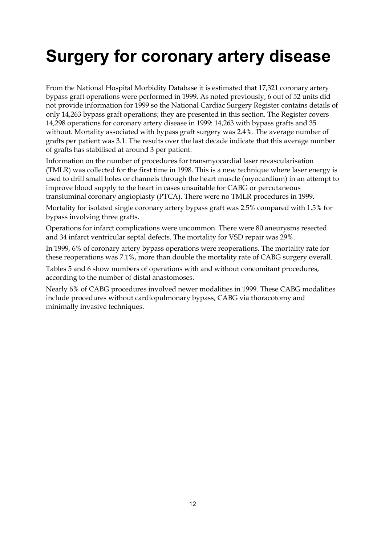# **Surgery for coronary artery disease**

From the National Hospital Morbidity Database it is estimated that 17,321 coronary artery bypass graft operations were performed in 1999. As noted previously, 6 out of 52 units did not provide information for 1999 so the National Cardiac Surgery Register contains details of only 14,263 bypass graft operations; they are presented in this section. The Register covers 14,298 operations for coronary artery disease in 1999: 14,263 with bypass grafts and 35 without. Mortality associated with bypass graft surgery was 2.4%. The average number of grafts per patient was 3.1. The results over the last decade indicate that this average number of grafts has stabilised at around 3 per patient.

Information on the number of procedures for transmyocardial laser revascularisation (TMLR) was collected for the first time in 1998. This is a new technique where laser energy is used to drill small holes or channels through the heart muscle (myocardium) in an attempt to improve blood supply to the heart in cases unsuitable for CABG or percutaneous transluminal coronary angioplasty (PTCA). There were no TMLR procedures in 1999.

Mortality for isolated single coronary artery bypass graft was 2.5% compared with 1.5% for bypass involving three grafts.

Operations for infarct complications were uncommon. There were 80 aneurysms resected and 34 infarct ventricular septal defects. The mortality for VSD repair was 29%.

In 1999, 6% of coronary artery bypass operations were reoperations. The mortality rate for these reoperations was 7.1%, more than double the mortality rate of CABG surgery overall.

Tables 5 and 6 show numbers of operations with and without concomitant procedures, according to the number of distal anastomoses.

Nearly 6% of CABG procedures involved newer modalities in 1999. These CABG modalities include procedures without cardiopulmonary bypass, CABG via thoracotomy and minimally invasive techniques.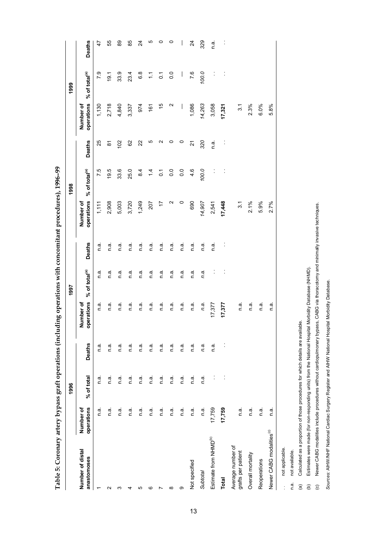Table 5: Coronary artery bypass graft operations (including operations with concomitant procedures), 1996-99 **Table 5: Coronary artery bypass graft operations (including operations with concomitant procedures), 1996–99**

|                                         |                         | 1996       |                      |                         | 1997                      |                |                         | 1998                      |                |                          | 1999                      |                          |
|-----------------------------------------|-------------------------|------------|----------------------|-------------------------|---------------------------|----------------|-------------------------|---------------------------|----------------|--------------------------|---------------------------|--------------------------|
| Number of distal<br>anastomoses         | operations<br>Number of | % of total | <b>Deaths</b>        | operations<br>Number of | % of total <sup>(a)</sup> | <b>Deaths</b>  | operations<br>Number of | % of total <sup>(a)</sup> | <b>Deaths</b>  | operations<br>Number of  | % of total <sup>(a)</sup> | <b>Deaths</b>            |
|                                         | n a                     | n.a        | n.a.                 | n a                     | n.a.                      | n a            | 1,111                   | 7.5                       | 25             | 1,130                    | 7.9                       | $\ddot{t}$               |
| Ν                                       | n.a.                    | n.a.       | n.a                  | n.a.                    | e.<br>U                   | n.a            | 2,908                   | 19.5                      | ౚ              | 2,718                    | 19.1                      | 55                       |
| ო                                       | n.ai                    | n a        | Г.<br>О              | Г.<br>О                 | n.a                       | e u            | 5,003                   | 33.6                      | 102            | 4,840                    | 33.9                      | 8                        |
|                                         | n a                     | n.a        | n.a.                 | n a                     | n.a.                      | n.a.           | 3,720                   | 25.0                      | 82             | 3,337                    | 23.4                      | 85                       |
| ю                                       | n.a.                    | m<br>C     | n.a.                 | n a.                    | n a                       | n.a.           | 1,249                   | $\frac{4}{3}$             | 22             | 974                      | $\frac{8}{6}$             | $\overline{2}$           |
| ဖ                                       | n.a.                    | n a        | n.a                  | Г.<br>О                 | n.a                       | n a            | 207                     | $\overline{4}$            | Ю              | 161                      | Ξ                         | ഥ                        |
|                                         | n.ai                    | n.a        | n.ai                 | n.a.                    | n.a                       | n.a            | 17                      | $\overline{c}$            | Ν              | $\frac{1}{2}$            | $\overline{O}$            | 0                        |
| ∞                                       | n.ai                    | n.ai       | n a                  | n a                     | n.a.                      | n a            | Ν                       | $\overline{0}$            | 0              | Ν                        | 0.0                       | 0                        |
| တ                                       | e u                     | n a        | e ∪                  | n.ai                    | n a                       | e u            | $\circ$                 | $\overline{0}$            | $\circ$        | $\overline{\phantom{a}}$ | $\vert$                   | $\overline{\phantom{a}}$ |
| Not specified                           | n.a.                    | n.ai       | n.a.                 | n.a.                    | n.a.                      | n.a            | 690                     | 4.6                       | 21             | 1,086                    | 7.6                       | $\overline{2}$           |
| Subtotal                                | n.a.                    | n.a.       | n.a.                 | n.a.                    | n.a.                      | n.a.           | 14,907                  | 100.0                     | 320            | 14,263                   | 100.0                     | 329                      |
| Estimate from NHMD <sup>(b)</sup>       | 17,759                  |            | Г.<br>О              | 17,377                  | ĵ,                        | n a            | 2,541                   | ĵ                         | e u            | 3,058                    | $\ddot{\cdot}$            | n.a                      |
| Total                                   | 17,759                  | j          | $\ddot{\phantom{a}}$ | 17,377                  | $\ddot{\cdot}$            | $\ddot{\cdot}$ | 17,448                  | $\ddot{\cdot}$            | $\ddot{\cdot}$ | 17,321                   | $\ddot{\cdot}$            | $\ddot{\phantom{a}}$     |
| Average number of<br>grafts per patient | n a                     |            |                      | Г.<br>О                 |                           |                | $\overline{3}$ .1       |                           |                | $\overline{3}$ .         |                           |                          |
| Overall mortality                       | e ∪                     |            |                      | n a.                    |                           |                | 2.1%                    |                           |                | 2.3%                     |                           |                          |
| Reoperations                            | n.a.                    |            |                      | n a.                    |                           |                | 5.9%                    |                           |                | 6.0%                     |                           |                          |
| Newer CABG modalities <sup>(c)</sup>    | n.a                     |            |                      | n.a                     |                           |                | 2.7%                    |                           |                | 5.8%                     |                           |                          |
|                                         |                         |            |                      |                         |                           |                |                         |                           |                |                          |                           |                          |

not applicable. . not applicable.  $\frac{1}{2}$ 

not available. n.a. not available. n.a. Calculated as a proportion of those procedures for which details are available. (a) Calculated as a proportion of those procedures for which details are available.

Estimates were made (for non-responding units) from the National Hospital Morbidity Database (NHMD). (b) Estimates were made (for non-responding units) from the National Hospital Morbidity Database (NHMD).  $\widehat{\mathfrak{g}}$   $\widehat{\mathfrak{g}}$ 

Newer CABG modalities include procedures without cardiopulmonary bypass, CABG via thoracotomy and minimally invasive techniques. (c) Newer CABG modalities include procedures without cardiopulmonary bypass, CABG via thoracotomy and minimally invasive techniques.  $\odot$ 

Sources: AIHW/NHF National Cardiac Surgery Register and AIHW National Hospital Morbidity Database. *Sources:* AIHW/NHF National Cardiac Surgery Register and AIHW National Hospital Morbidity Database.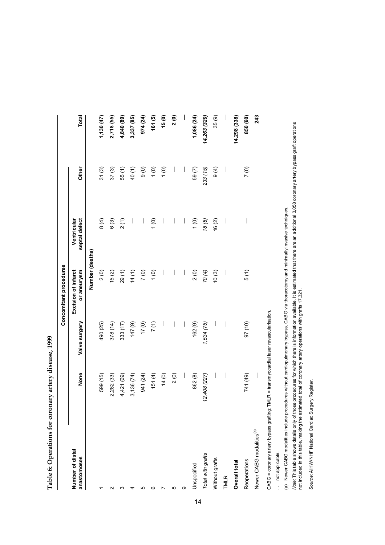| こくちょう こうこう                                |
|-------------------------------------------|
|                                           |
| そうしきり こうちょうそうりょうしゃ こうしょう                  |
| ſ                                         |
| ֧֦֧֦֧֦֧ׅ֧ׅ֧֚֚֚֚֚֚֚֚֚֚֚֚֚֚֚֚֚֚֚֚֚֚֚֬֜֓֡֜֜֓ |

|                                      |                                |                          | Concomitant procedures             |                                                                                                                                                                                                                                                                                                                                                                                  |                          |                                |
|--------------------------------------|--------------------------------|--------------------------|------------------------------------|----------------------------------------------------------------------------------------------------------------------------------------------------------------------------------------------------------------------------------------------------------------------------------------------------------------------------------------------------------------------------------|--------------------------|--------------------------------|
| Number of distal<br>anastomoses      | None                           | Valve surgery            | or aneurysm<br>Excision of infarct | Ventricular<br>septal defect                                                                                                                                                                                                                                                                                                                                                     | Other                    | <b>Total</b>                   |
|                                      |                                |                          | Number (deaths)                    |                                                                                                                                                                                                                                                                                                                                                                                  |                          |                                |
|                                      | 599 (15)                       | 490 (25)                 | 2(0)                               | $\frac{4}{9}$                                                                                                                                                                                                                                                                                                                                                                    | 31(3)                    | 1,130 (47)                     |
| ∾                                    | 2,282 (33)                     | 378 (14)                 | 15(2)                              | 6(3)                                                                                                                                                                                                                                                                                                                                                                             | 37(3)                    | 2,718 (55)                     |
| ო                                    | 4,421 (69)                     | 333 (17)                 | 29(1)                              | 2(1)                                                                                                                                                                                                                                                                                                                                                                             | 55(1)                    | 4,840 (89)                     |
| ₹                                    | 3,136 (74)                     | $(6)$ $21$               | 14(1)                              | $\overline{\phantom{a}}$                                                                                                                                                                                                                                                                                                                                                         | 40(1)                    | 3,337 (85)                     |
| Ю                                    | 941 (24)                       | (0) 11                   | 7(0)                               | $\vert$                                                                                                                                                                                                                                                                                                                                                                          | $\frac{6}{9}$            | 974 (24)                       |
| ဖ                                    | 151(4)                         | 7(1)                     | $(0)$                              | $\frac{1}{2}$                                                                                                                                                                                                                                                                                                                                                                    | $\frac{6}{1}$            | 161(5)                         |
|                                      | 14(0)                          | $\overline{\phantom{a}}$ | $\overline{\phantom{a}}$           | $\overline{\phantom{a}}$                                                                                                                                                                                                                                                                                                                                                         | (0)                      | 15(0)                          |
| ∞                                    | 2(0)                           | $\overline{\phantom{a}}$ | $\bigg $                           | $\bigg $                                                                                                                                                                                                                                                                                                                                                                         | $\overline{\phantom{a}}$ | 2(0)                           |
| တ                                    | $\vert$                        | $\overline{\phantom{a}}$ | $\overline{\phantom{a}}$           | $\overline{\phantom{a}}$                                                                                                                                                                                                                                                                                                                                                         | $\overline{\phantom{a}}$ | $\overline{\phantom{a}}$       |
| Unspecified                          | 862 (8)                        | 162 (9)                  | 2(0)                               | $\frac{1}{2}$                                                                                                                                                                                                                                                                                                                                                                    | 59(7)                    | 1,086 (24)                     |
| Total with grafts                    | 12,408 (227)                   | 1,534(75)                | 70(4)                              | (8)                                                                                                                                                                                                                                                                                                                                                                              | 233 (15)                 | 14,263 (329)                   |
| Without grafts                       | $\bigg $                       | $\overline{\phantom{a}}$ | 10(3)                              | 16(2)                                                                                                                                                                                                                                                                                                                                                                            | 9(4)                     | 35(9)                          |
| <b>TMLR</b>                          | $\begin{array}{c} \end{array}$ | $\bigg $                 | $\overline{\phantom{a}}$           | $\begin{array}{c} \end{array}$                                                                                                                                                                                                                                                                                                                                                   | $\overline{\phantom{a}}$ | $\begin{array}{c} \end{array}$ |
| Overall total                        |                                |                          |                                    |                                                                                                                                                                                                                                                                                                                                                                                  |                          | 14,298 (338)                   |
| Reoperations                         | 741 (49)                       | 97 (10)                  | 5(1)                               | $\begin{array}{c} \rule{0pt}{2.5ex} \rule{0pt}{2.5ex} \rule{0pt}{2.5ex} \rule{0pt}{2.5ex} \rule{0pt}{2.5ex} \rule{0pt}{2.5ex} \rule{0pt}{2.5ex} \rule{0pt}{2.5ex} \rule{0pt}{2.5ex} \rule{0pt}{2.5ex} \rule{0pt}{2.5ex} \rule{0pt}{2.5ex} \rule{0pt}{2.5ex} \rule{0pt}{2.5ex} \rule{0pt}{2.5ex} \rule{0pt}{2.5ex} \rule{0pt}{2.5ex} \rule{0pt}{2.5ex} \rule{0pt}{2.5ex} \rule{0$ | $\overline{C}$           | 850 (60)                       |
| Newer CABG modalities <sup>(a)</sup> | I                              |                          |                                    |                                                                                                                                                                                                                                                                                                                                                                                  |                          | 243                            |
|                                      |                                |                          |                                    |                                                                                                                                                                                                                                                                                                                                                                                  |                          |                                |

CABG = coronary artery bypass grafting; TMLR = transmyocardial laser revascularisation. CABG = coronary artery bypass grafting; TMLR = transmyocardial laser revascularisation.

.. not applicable. . not applicable.

(a) Newer CABG modalities include procedures without cardiopulmonary bypass, CABG via thoracotomy and minimally invasive techniques. (a) Newer CABG modalities include procedures without cardiopulmonary bypass, CABG via thoracotomy and minimally invasive techniques.

*Note:* This table shows details only of those procedures for which there is information available. It is estimated that there are an additional 3,058 coronary artery bypass graft operations<br>not included in this table, mak *Note:* This table shows details only of those procedures for which there is information available. It is estimated that there are an additional 3,058 coronary artery bypass graft operations not included in this table, making the estimated total of coronary artery operations with grafts 17,321.

Source: AIHW/NHF National Cardiac Surgery Register. *Source:* AIHW/NHF National Cardiac Surgery Register.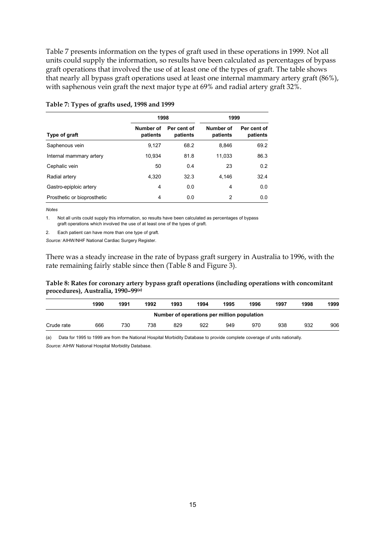Table 7 presents information on the types of graft used in these operations in 1999. Not all units could supply the information, so results have been calculated as percentages of bypass graft operations that involved the use of at least one of the types of graft. The table shows that nearly all bypass graft operations used at least one internal mammary artery graft (86%), with saphenous vein graft the next major type at 69% and radial artery graft 32%.

|                             | 1998                  |                         | 1999                  |                         |
|-----------------------------|-----------------------|-------------------------|-----------------------|-------------------------|
| Type of graft               | Number of<br>patients | Per cent of<br>patients | Number of<br>patients | Per cent of<br>patients |
| Saphenous vein              | 9,127                 | 68.2                    | 8,846                 | 69.2                    |
| Internal mammary artery     | 10,934                | 81.8                    | 11,033                | 86.3                    |
| Cephalic vein               | 50                    | 0.4                     | 23                    | 0.2                     |
| Radial artery               | 4.320                 | 32.3                    | 4.146                 | 32.4                    |
| Gastro-epiploic artery      | 4                     | 0.0                     | 4                     | 0.0                     |
| Prosthetic or bioprosthetic | 4                     | 0.0                     | 2                     | 0.0                     |

#### **Table 7: Types of grafts used, 1998 and 1999**

*Notes*

1. Not all units could supply this information, so results have been calculated as percentages of bypass graft operations which involved the use of at least one of the types of graft.

2. Each patient can have more than one type of graft.

*Source:* AIHW/NHF National Cardiac Surgery Register.

There was a steady increase in the rate of bypass graft surgery in Australia to 1996, with the rate remaining fairly stable since then (Table 8 and Figure 3).

### **Table 8: Rates for coronary artery bypass graft operations (including operations with concomitant procedures), Australia, 1990–99(a)**

|                                             | 1990 | 1991 | 1992 | 1993 | 1994 | 1995 | 1996 | 1997 | 1998 | 1999 |  |
|---------------------------------------------|------|------|------|------|------|------|------|------|------|------|--|
| Number of operations per million population |      |      |      |      |      |      |      |      |      |      |  |
| Crude rate                                  | 666  | 730  | 738  | 829  | 922  | 949  | 970  | 938  | 932  | 906  |  |

(a) Data for 1995 to 1999 are from the National Hospital Morbidity Database to provide complete coverage of units nationally. *Source:* AIHW National Hospital Morbidity Database.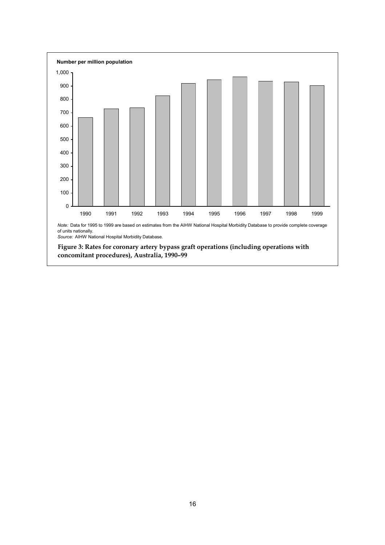

**concomitant procedures), Australia, 1990–99**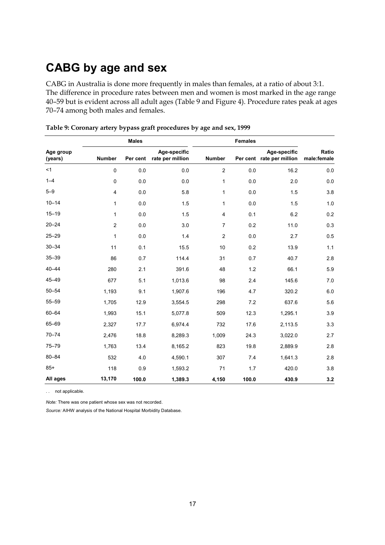## **CABG by age and sex**

CABG in Australia is done more frequently in males than females, at a ratio of about 3:1. The difference in procedure rates between men and women is most marked in the age range 40–59 but is evident across all adult ages (Table 9 and Figure 4). Procedure rates peak at ages 70–74 among both males and females.

|                      |                | <b>Males</b> |                                  |                | <b>Females</b> |                                           |                      |
|----------------------|----------------|--------------|----------------------------------|----------------|----------------|-------------------------------------------|----------------------|
| Age group<br>(years) | <b>Number</b>  | Per cent     | Age-specific<br>rate per million | <b>Number</b>  |                | Age-specific<br>Per cent rate per million | Ratio<br>male:female |
| <1                   | 0              | 0.0          | 0.0                              | $\overline{c}$ | 0.0            | 16.2                                      | 0.0                  |
| $1 - 4$              | 0              | 0.0          | 0.0                              | 1              | 0.0            | 2.0                                       | 0.0                  |
| $5 - 9$              | 4              | 0.0          | 5.8                              | 1              | 0.0            | 1.5                                       | 3.8                  |
| $10 - 14$            | 1              | 0.0          | 1.5                              | 1              | 0.0            | 1.5                                       | 1.0                  |
| $15 - 19$            | $\mathbf{1}$   | 0.0          | 1.5                              | 4              | 0.1            | 6.2                                       | 0.2                  |
| $20 - 24$            | $\overline{c}$ | 0.0          | 3.0                              | $\overline{7}$ | 0.2            | 11.0                                      | 0.3                  |
| $25 - 29$            | 1              | 0.0          | 1.4                              | $\overline{c}$ | 0.0            | 2.7                                       | 0.5                  |
| $30 - 34$            | 11             | 0.1          | 15.5                             | 10             | 0.2            | 13.9                                      | 1.1                  |
| $35 - 39$            | 86             | 0.7          | 114.4                            | 31             | 0.7            | 40.7                                      | 2.8                  |
| $40 - 44$            | 280            | 2.1          | 391.6                            | 48             | 1.2            | 66.1                                      | 5.9                  |
| 45-49                | 677            | 5.1          | 1,013.6                          | 98             | 2.4            | 145.6                                     | 7.0                  |
| $50 - 54$            | 1,193          | 9.1          | 1,907.6                          | 196            | 4.7            | 320.2                                     | 6.0                  |
| $55 - 59$            | 1,705          | 12.9         | 3,554.5                          | 298            | 7.2            | 637.6                                     | 5.6                  |
| $60 - 64$            | 1,993          | 15.1         | 5,077.8                          | 509            | 12.3           | 1,295.1                                   | 3.9                  |
| 65-69                | 2,327          | 17.7         | 6,974.4                          | 732            | 17.6           | 2,113.5                                   | 3.3                  |
| $70 - 74$            | 2,476          | 18.8         | 8,289.3                          | 1,009          | 24.3           | 3,022.0                                   | 2.7                  |
| $75 - 79$            | 1,763          | 13.4         | 8,165.2                          | 823            | 19.8           | 2,889.9                                   | 2.8                  |
| $80 - 84$            | 532            | 4.0          | 4,590.1                          | 307            | 7.4            | 1,641.3                                   | 2.8                  |
| $85+$                | 118            | 0.9          | 1,593.2                          | 71             | 1.7            | 420.0                                     | 3.8                  |
| All ages             | 13,170         | 100.0        | 1,389.3                          | 4,150          | 100.0          | 430.9                                     | 3.2                  |

**Table 9: Coronary artery bypass graft procedures by age and sex, 1999**

. . not applicable.

*Note:* There was one patient whose sex was not recorded.

*Source:* AIHW analysis of the National Hospital Morbidity Database.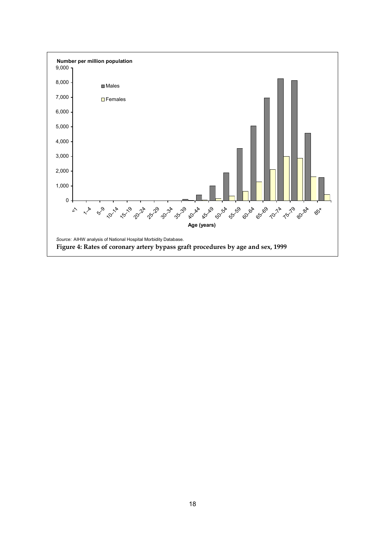